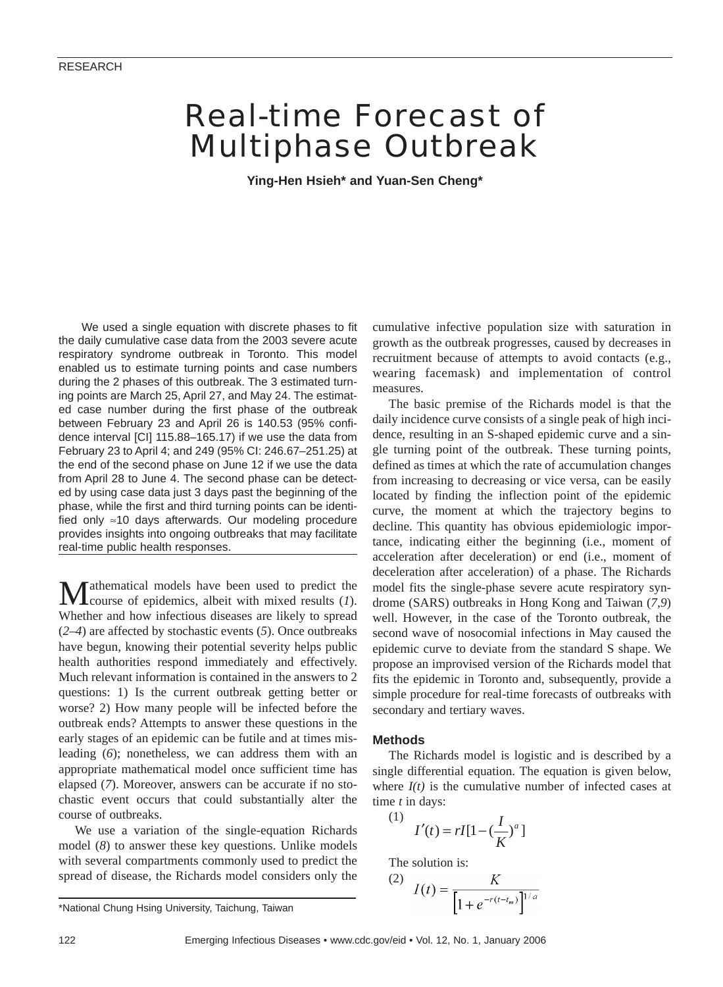# Real-time Forecast of Multiphase Outbreak

**Ying-Hen Hsieh\* and Yuan-Sen Cheng\***

We used a single equation with discrete phases to fit the daily cumulative case data from the 2003 severe acute respiratory syndrome outbreak in Toronto. This model enabled us to estimate turning points and case numbers during the 2 phases of this outbreak. The 3 estimated turning points are March 25, April 27, and May 24. The estimated case number during the first phase of the outbreak between February 23 and April 26 is 140.53 (95% confidence interval [CI] 115.88–165.17) if we use the data from February 23 to April 4; and 249 (95% CI: 246.67–251.25) at the end of the second phase on June 12 if we use the data from April 28 to June 4. The second phase can be detected by using case data just 3 days past the beginning of the phase, while the first and third turning points can be identified only ≈10 days afterwards. Our modeling procedure provides insights into ongoing outbreaks that may facilitate real-time public health responses.

Mathematical models have been used to predict the course of epidemics, albeit with mixed results (*1*). Whether and how infectious diseases are likely to spread (*2–4*) are affected by stochastic events (*5*). Once outbreaks have begun, knowing their potential severity helps public health authorities respond immediately and effectively. Much relevant information is contained in the answers to 2 questions: 1) Is the current outbreak getting better or worse? 2) How many people will be infected before the outbreak ends? Attempts to answer these questions in the early stages of an epidemic can be futile and at times misleading (*6*); nonetheless, we can address them with an appropriate mathematical model once sufficient time has elapsed (*7*). Moreover, answers can be accurate if no stochastic event occurs that could substantially alter the course of outbreaks.

We use a variation of the single-equation Richards model (*8*) to answer these key questions. Unlike models with several compartments commonly used to predict the spread of disease, the Richards model considers only the cumulative infective population size with saturation in growth as the outbreak progresses, caused by decreases in recruitment because of attempts to avoid contacts (e.g., wearing facemask) and implementation of control measures.

The basic premise of the Richards model is that the daily incidence curve consists of a single peak of high incidence, resulting in an S-shaped epidemic curve and a single turning point of the outbreak. These turning points, defined as times at which the rate of accumulation changes from increasing to decreasing or vice versa, can be easily located by finding the inflection point of the epidemic curve, the moment at which the trajectory begins to decline. This quantity has obvious epidemiologic importance, indicating either the beginning (i.e., moment of acceleration after deceleration) or end (i.e., moment of deceleration after acceleration) of a phase. The Richards model fits the single-phase severe acute respiratory syndrome (SARS) outbreaks in Hong Kong and Taiwan (*7,9*) well. However, in the case of the Toronto outbreak, the second wave of nosocomial infections in May caused the epidemic curve to deviate from the standard S shape. We propose an improvised version of the Richards model that fits the epidemic in Toronto and, subsequently, provide a simple procedure for real-time forecasts of outbreaks with secondary and tertiary waves.

#### **Methods**

(1)

The Richards model is logistic and is described by a single differential equation. The equation is given below, where  $I(t)$  is the cumulative number of infected cases at time *t* in days:

$$
I'(t) = rI[1 - (\frac{I}{K})^{a}]
$$

The solution is:  $(2)$ 

$$
I(t) = \frac{K}{\left[1 + e^{-r(t - t_m)}\right]^{1/a}}
$$

<sup>\*</sup>National Chung Hsing University, Taichung, Taiwan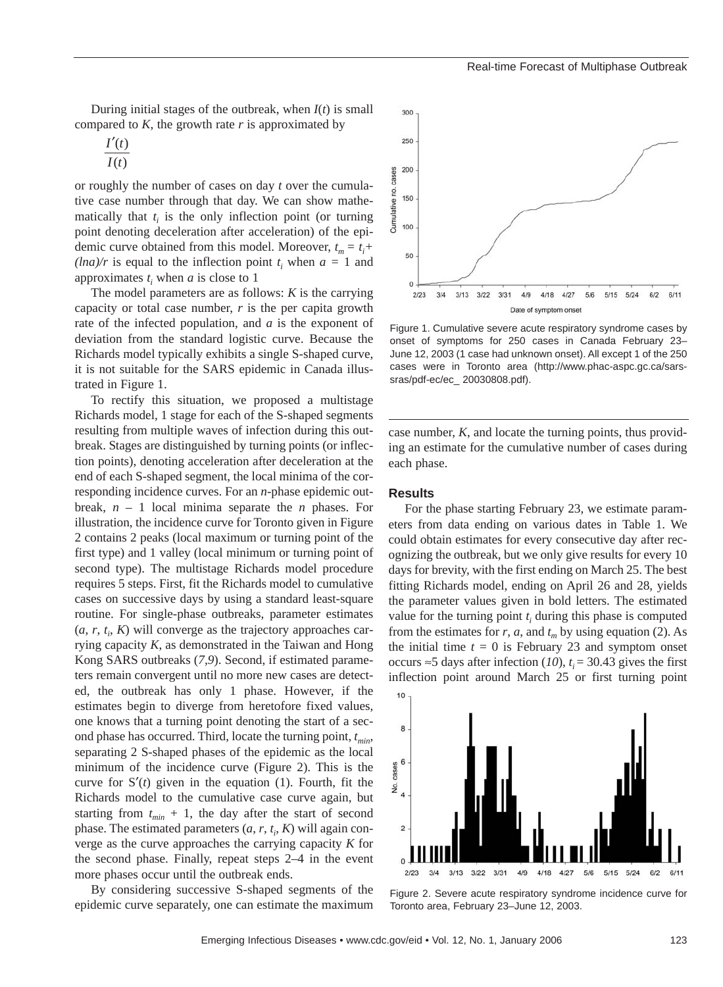During initial stages of the outbreak, when *I*(*t*) is small compared to *K*, the growth rate *r* is approximated by

$$
\frac{I'(t)}{I(t)}
$$

or roughly the number of cases on day *t* over the cumulative case number through that day. We can show mathematically that  $t_i$  is the only inflection point (or turning point denoting deceleration after acceleration) of the epidemic curve obtained from this model. Moreover,  $t_m = t_i +$ *(lna)/r* is equal to the inflection point  $t_i$ , when  $a = 1$  and approximates  $t_i$  when  $a$  is close to 1

The model parameters are as follows: *K* is the carrying capacity or total case number, *r* is the per capita growth rate of the infected population, and *a* is the exponent of deviation from the standard logistic curve. Because the Richards model typically exhibits a single S-shaped curve, it is not suitable for the SARS epidemic in Canada illustrated in Figure 1.

To rectify this situation, we proposed a multistage Richards model, 1 stage for each of the S-shaped segments resulting from multiple waves of infection during this outbreak. Stages are distinguished by turning points (or inflection points), denoting acceleration after deceleration at the end of each S-shaped segment, the local minima of the corresponding incidence curves. For an *n*-phase epidemic outbreak, *n* – 1 local minima separate the *n* phases. For illustration, the incidence curve for Toronto given in Figure 2 contains 2 peaks (local maximum or turning point of the first type) and 1 valley (local minimum or turning point of second type). The multistage Richards model procedure requires 5 steps. First, fit the Richards model to cumulative cases on successive days by using a standard least-square routine. For single-phase outbreaks, parameter estimates  $(a, r, t_i, K)$  will converge as the trajectory approaches carrying capacity *K*, as demonstrated in the Taiwan and Hong Kong SARS outbreaks (*7,9*). Second, if estimated parameters remain convergent until no more new cases are detected, the outbreak has only 1 phase. However, if the estimates begin to diverge from heretofore fixed values, one knows that a turning point denoting the start of a second phase has occurred. Third, locate the turning point,  $t_{min}$ , separating 2 S-shaped phases of the epidemic as the local minimum of the incidence curve (Figure 2). This is the curve for S′(*t*) given in the equation (1). Fourth, fit the Richards model to the cumulative case curve again, but starting from  $t_{min} + 1$ , the day after the start of second phase. The estimated parameters (*a*, *r*, *ti* , *K*) will again converge as the curve approaches the carrying capacity *K* for the second phase. Finally, repeat steps 2–4 in the event more phases occur until the outbreak ends.

By considering successive S-shaped segments of the epidemic curve separately, one can estimate the maximum



Figure 1. Cumulative severe acute respiratory syndrome cases by onset of symptoms for 250 cases in Canada February 23– June 12, 2003 (1 case had unknown onset). All except 1 of the 250 cases were in Toronto area (http://www.phac-aspc.gc.ca/sarssras/pdf-ec/ec\_ 20030808.pdf).

case number, *K*, and locate the turning points, thus providing an estimate for the cumulative number of cases during each phase.

## **Results**

For the phase starting February 23, we estimate parameters from data ending on various dates in Table 1. We could obtain estimates for every consecutive day after recognizing the outbreak, but we only give results for every 10 days for brevity, with the first ending on March 25. The best fitting Richards model, ending on April 26 and 28, yields the parameter values given in bold letters. The estimated value for the turning point  $t_i$  during this phase is computed from the estimates for  $r$ ,  $a$ , and  $t<sub>m</sub>$  by using equation (2). As the initial time  $t = 0$  is February 23 and symptom onset occurs ≈5 days after infection (*10*),  $t_i$  = 30.43 gives the first inflection point around March 25 or first turning point



Figure 2. Severe acute respiratory syndrome incidence curve for Toronto area, February 23–June 12, 2003.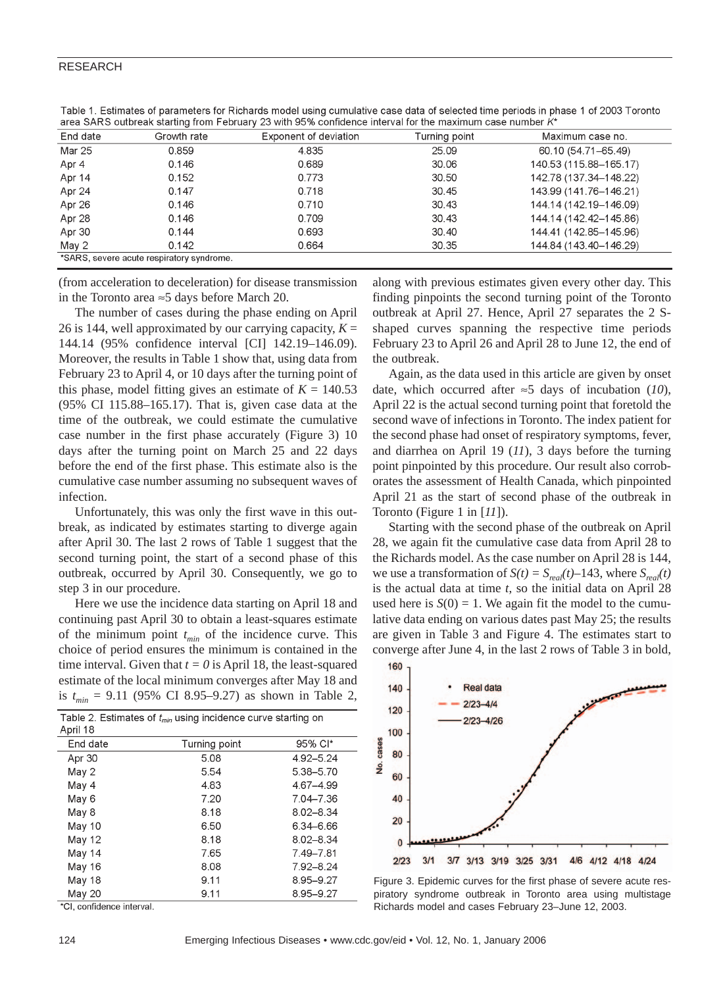## RESEARCH

| End date | Growth rate                               | Exponent of deviation | Turning point | Maximum case no.       |
|----------|-------------------------------------------|-----------------------|---------------|------------------------|
| Mar 25   | 0.859                                     | 4.835                 | 25.09         | 60.10 (54.71-65.49)    |
| Apr 4    | 0.146                                     | 0.689                 | 30.06         | 140.53 (115.88-165.17) |
| Apr 14   | 0.152                                     | 0.773                 | 30.50         | 142.78 (137.34-148.22) |
| Apr 24   | 0.147                                     | 0.718                 | 30.45         | 143.99 (141.76-146.21) |
| Apr 26   | 0.146                                     | 0.710                 | 30.43         | 144.14 (142.19-146.09) |
| Apr 28   | 0.146                                     | 0.709                 | 30.43         | 144.14 (142.42-145.86) |
| Apr 30   | 0.144                                     | 0.693                 | 30.40         | 144.41 (142.85-145.96) |
| May 2    | 0.142                                     | 0.664                 | 30.35         | 144.84 (143.40-146.29) |
|          | *SARS, severe acute respiratory syndrome. |                       |               |                        |

Table 1. Estimates of parameters for Richards model using cumulative case data of selected time periods in phase 1 of 2003 Toronto area SARS outbreak starting from February 23 with 95% confidence interval for the maximum case number  $K^*$ 

(from acceleration to deceleration) for disease transmission in the Toronto area ≈5 days before March 20.

The number of cases during the phase ending on April 26 is 144, well approximated by our carrying capacity,  $K =$ 144.14 (95% confidence interval [CI] 142.19–146.09). Moreover, the results in Table 1 show that, using data from February 23 to April 4, or 10 days after the turning point of this phase, model fitting gives an estimate of  $K = 140.53$ (95% CI 115.88–165.17). That is, given case data at the time of the outbreak, we could estimate the cumulative case number in the first phase accurately (Figure 3) 10 days after the turning point on March 25 and 22 days before the end of the first phase. This estimate also is the cumulative case number assuming no subsequent waves of infection.

Unfortunately, this was only the first wave in this outbreak, as indicated by estimates starting to diverge again after April 30. The last 2 rows of Table 1 suggest that the second turning point, the start of a second phase of this outbreak, occurred by April 30. Consequently, we go to step 3 in our procedure.

Here we use the incidence data starting on April 18 and continuing past April 30 to obtain a least-squares estimate of the minimum point  $t_{min}$  of the incidence curve. This choice of period ensures the minimum is contained in the time interval. Given that  $t = 0$  is April 18, the least-squared estimate of the local minimum converges after May 18 and is  $t_{min} = 9.11$  (95% CI 8.95–9.27) as shown in Table 2,

| Table 2. Estimates of $t_{min}$ using incidence curve starting on<br>April 18 |               |               |  |  |  |
|-------------------------------------------------------------------------------|---------------|---------------|--|--|--|
| End date                                                                      | Turning point | 95% CI*       |  |  |  |
| Apr 30                                                                        | 5.08          | 4.92-5.24     |  |  |  |
| May 2                                                                         | 5.54          | 5.38-5.70     |  |  |  |
| May 4                                                                         | 4.83          | 4.67-4.99     |  |  |  |
| May 6                                                                         | 7.20          | 7.04-7.36     |  |  |  |
| May 8                                                                         | 8.18          | $8.02 - 8.34$ |  |  |  |
| May 10                                                                        | 6.50          | 6.34-6.66     |  |  |  |
| May 12                                                                        | 8.18          | $8.02 - 8.34$ |  |  |  |
| May 14                                                                        | 7.65          | 7.49-7.81     |  |  |  |
| May 16                                                                        | 8.08          | 7.92-8.24     |  |  |  |
| May 18                                                                        | 9.11          | 8.95-9.27     |  |  |  |
| May 20                                                                        | 9.11          | 8.95-9.27     |  |  |  |
| . .<br>. .                                                                    |               |               |  |  |  |

\*CI, confidence interval.

along with previous estimates given every other day. This finding pinpoints the second turning point of the Toronto outbreak at April 27. Hence, April 27 separates the 2 Sshaped curves spanning the respective time periods February 23 to April 26 and April 28 to June 12, the end of the outbreak.

Again, as the data used in this article are given by onset date, which occurred after ≈5 days of incubation (*10*), April 22 is the actual second turning point that foretold the second wave of infections in Toronto. The index patient for the second phase had onset of respiratory symptoms, fever, and diarrhea on April 19 (*11*), 3 days before the turning point pinpointed by this procedure. Our result also corroborates the assessment of Health Canada, which pinpointed April 21 as the start of second phase of the outbreak in Toronto (Figure 1 in [*11*]).

Starting with the second phase of the outbreak on April 28, we again fit the cumulative case data from April 28 to the Richards model. As the case number on April 28 is 144, we use a transformation of  $S(t) = S_{real}(t) - 143$ , where  $S_{real}(t)$ is the actual data at time *t*, so the initial data on April 28 used here is  $S(0) = 1$ . We again fit the model to the cumulative data ending on various dates past May 25; the results are given in Table 3 and Figure 4. The estimates start to converge after June 4, in the last 2 rows of Table 3 in bold,



Figure 3. Epidemic curves for the first phase of severe acute respiratory syndrome outbreak in Toronto area using multistage Richards model and cases February 23–June 12, 2003.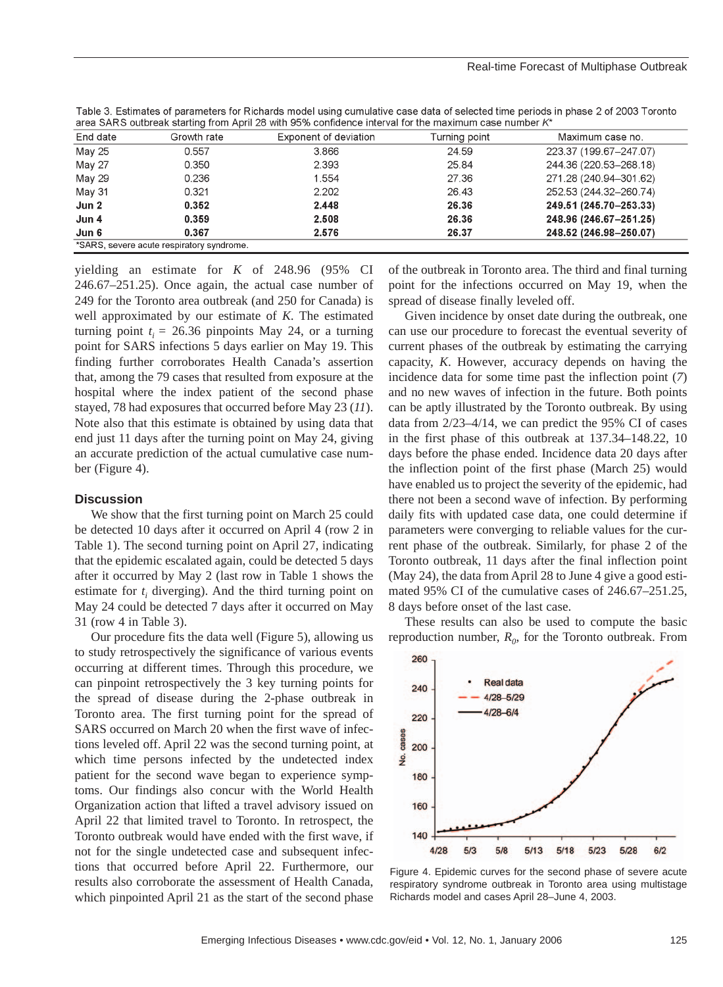| End date | Growth rate                               | Exponent of deviation | Turning point | Maximum case no.       |
|----------|-------------------------------------------|-----------------------|---------------|------------------------|
| May 25   | 0.557                                     | 3.866                 | 24.59         | 223.37 (199.67-247.07) |
| May 27   | 0.350                                     | 2.393                 | 25.84         | 244.36 (220.53-268.18) |
| May 29   | 0.236                                     | 1.554                 | 27.36         | 271.28 (240.94-301.62) |
| May 31   | 0.321                                     | 2.202                 | 26.43         | 252.53 (244.32-260.74) |
| Jun 2    | 0.352                                     | 2.448                 | 26.36         | 249.51 (245.70-253.33) |
| Jun 4    | 0.359                                     | 2.508                 | 26.36         | 248.96 (246.67-251.25) |
| Jun 6    | 0.367                                     | 2.576                 | 26.37         | 248.52 (246.98-250.07) |
|          | *SARS, severe acute respiratory syndrome. |                       |               |                        |

Table 3. Estimates of parameters for Richards model using cumulative case data of selected time periods in phase 2 of 2003 Toronto area SARS outbreak starting from April 28 with 95% confidence interval for the maximum case number  $K^*$ 

yielding an estimate for *K* of 248.96 (95% CI 246.67–251.25). Once again, the actual case number of 249 for the Toronto area outbreak (and 250 for Canada) is well approximated by our estimate of *K*. The estimated turning point  $t_i = 26.36$  pinpoints May 24, or a turning point for SARS infections 5 days earlier on May 19. This finding further corroborates Health Canada's assertion that, among the 79 cases that resulted from exposure at the hospital where the index patient of the second phase stayed, 78 had exposures that occurred before May 23 (*11*). Note also that this estimate is obtained by using data that end just 11 days after the turning point on May 24, giving an accurate prediction of the actual cumulative case number (Figure 4).

## **Discussion**

We show that the first turning point on March 25 could be detected 10 days after it occurred on April 4 (row 2 in Table 1). The second turning point on April 27, indicating that the epidemic escalated again, could be detected 5 days after it occurred by May 2 (last row in Table 1 shows the estimate for  $t_i$  diverging). And the third turning point on May 24 could be detected 7 days after it occurred on May 31 (row 4 in Table 3).

Our procedure fits the data well (Figure 5), allowing us to study retrospectively the significance of various events occurring at different times. Through this procedure, we can pinpoint retrospectively the 3 key turning points for the spread of disease during the 2-phase outbreak in Toronto area. The first turning point for the spread of SARS occurred on March 20 when the first wave of infections leveled off. April 22 was the second turning point, at which time persons infected by the undetected index patient for the second wave began to experience symptoms. Our findings also concur with the World Health Organization action that lifted a travel advisory issued on April 22 that limited travel to Toronto. In retrospect, the Toronto outbreak would have ended with the first wave, if not for the single undetected case and subsequent infections that occurred before April 22. Furthermore, our results also corroborate the assessment of Health Canada, which pinpointed April 21 as the start of the second phase

of the outbreak in Toronto area. The third and final turning point for the infections occurred on May 19, when the spread of disease finally leveled off.

Given incidence by onset date during the outbreak, one can use our procedure to forecast the eventual severity of current phases of the outbreak by estimating the carrying capacity, *K*. However, accuracy depends on having the incidence data for some time past the inflection point (*7*) and no new waves of infection in the future. Both points can be aptly illustrated by the Toronto outbreak. By using data from 2/23–4/14, we can predict the 95% CI of cases in the first phase of this outbreak at 137.34–148.22, 10 days before the phase ended. Incidence data 20 days after the inflection point of the first phase (March 25) would have enabled us to project the severity of the epidemic, had there not been a second wave of infection. By performing daily fits with updated case data, one could determine if parameters were converging to reliable values for the current phase of the outbreak. Similarly, for phase 2 of the Toronto outbreak, 11 days after the final inflection point (May 24), the data from April 28 to June 4 give a good estimated 95% CI of the cumulative cases of 246.67–251.25, 8 days before onset of the last case.

These results can also be used to compute the basic reproduction number,  $R_{0}$ , for the Toronto outbreak. From



Figure 4. Epidemic curves for the second phase of severe acute respiratory syndrome outbreak in Toronto area using multistage Richards model and cases April 28–June 4, 2003.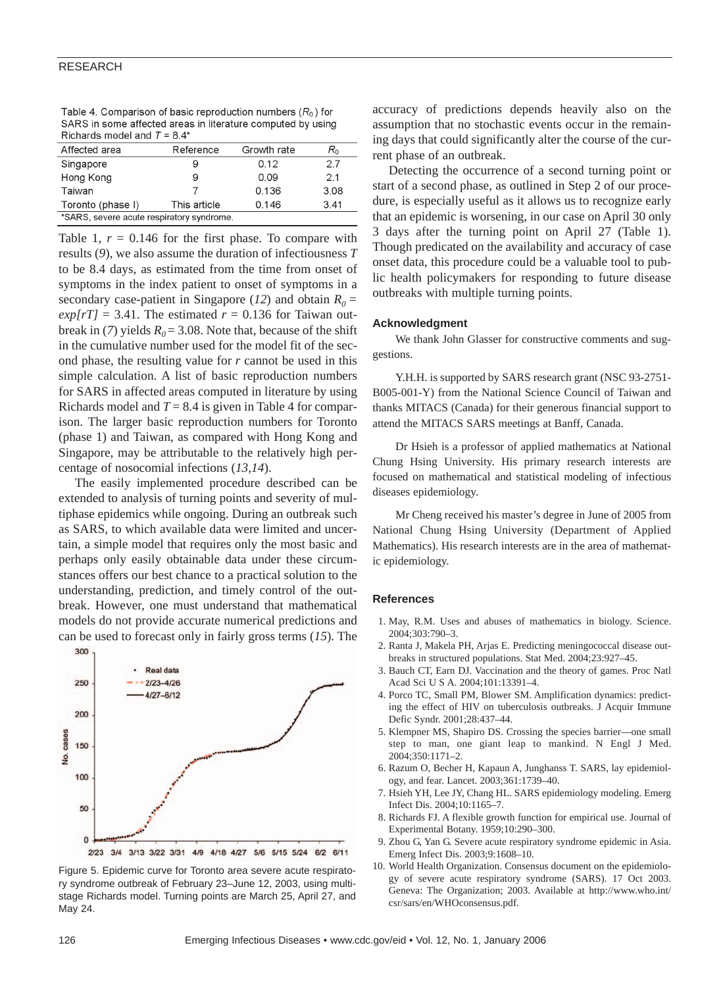#### RESEARCH

| Table 4. Comparison of basic reproduction numbers $(R_0)$ for |
|---------------------------------------------------------------|
| SARS in some affected areas in literature computed by using   |
| Richards model and $T = 8.4*$                                 |

| Affected area                             | Reference    | Growth rate | Rn   |  |  |
|-------------------------------------------|--------------|-------------|------|--|--|
| Singapore                                 | 9            | 0.12        | 2.7  |  |  |
| Hong Kong                                 | 9            | 0.09        | 2.1  |  |  |
| Taiwan                                    |              | 0.136       | 3.08 |  |  |
| Toronto (phase I)                         | This article | 0 1 4 6     | 3.41 |  |  |
| *SARS, severe acute respiratory syndrome. |              |             |      |  |  |

Table 1,  $r = 0.146$  for the first phase. To compare with results (*9*), we also assume the duration of infectiousness *T* to be 8.4 days, as estimated from the time from onset of symptoms in the index patient to onset of symptoms in a secondary case-patient in Singapore (12) and obtain  $R_0 =$  $exp[rT] = 3.41$ . The estimated  $r = 0.136$  for Taiwan outbreak in (7) yields  $R_0 = 3.08$ . Note that, because of the shift in the cumulative number used for the model fit of the second phase, the resulting value for *r* cannot be used in this simple calculation. A list of basic reproduction numbers for SARS in affected areas computed in literature by using Richards model and  $T = 8.4$  is given in Table 4 for comparison. The larger basic reproduction numbers for Toronto (phase 1) and Taiwan, as compared with Hong Kong and Singapore, may be attributable to the relatively high percentage of nosocomial infections (*13,14*).

The easily implemented procedure described can be extended to analysis of turning points and severity of multiphase epidemics while ongoing. During an outbreak such as SARS, to which available data were limited and uncertain, a simple model that requires only the most basic and perhaps only easily obtainable data under these circumstances offers our best chance to a practical solution to the understanding, prediction, and timely control of the outbreak. However, one must understand that mathematical models do not provide accurate numerical predictions and can be used to forecast only in fairly gross terms (*15*). The



Figure 5. Epidemic curve for Toronto area severe acute respiratory syndrome outbreak of February 23–June 12, 2003, using multistage Richards model. Turning points are March 25, April 27, and May 24.

accuracy of predictions depends heavily also on the assumption that no stochastic events occur in the remaining days that could significantly alter the course of the current phase of an outbreak.

Detecting the occurrence of a second turning point or start of a second phase, as outlined in Step 2 of our procedure, is especially useful as it allows us to recognize early that an epidemic is worsening, in our case on April 30 only 3 days after the turning point on April 27 (Table 1). Though predicated on the availability and accuracy of case onset data, this procedure could be a valuable tool to public health policymakers for responding to future disease outbreaks with multiple turning points.

#### **Acknowledgment**

We thank John Glasser for constructive comments and suggestions.

Y.H.H. is supported by SARS research grant (NSC 93-2751- B005-001-Y) from the National Science Council of Taiwan and thanks MITACS (Canada) for their generous financial support to attend the MITACS SARS meetings at Banff, Canada.

Dr Hsieh is a professor of applied mathematics at National Chung Hsing University. His primary research interests are focused on mathematical and statistical modeling of infectious diseases epidemiology.

Mr Cheng received his master's degree in June of 2005 from National Chung Hsing University (Department of Applied Mathematics). His research interests are in the area of mathematic epidemiology.

#### **References**

- 1. May, R.M. Uses and abuses of mathematics in biology. Science. 2004;303:790–3.
- 2. Ranta J, Makela PH, Arjas E. Predicting meningococcal disease outbreaks in structured populations. Stat Med. 2004;23:927–45.
- 3. Bauch CT, Earn DJ. Vaccination and the theory of games. Proc Natl Acad Sci U S A. 2004;101:13391–4.
- 4. Porco TC, Small PM, Blower SM. Amplification dynamics: predicting the effect of HIV on tuberculosis outbreaks. J Acquir Immune Defic Syndr. 2001;28:437–44.
- 5. Klempner MS, Shapiro DS. Crossing the species barrier—one small step to man, one giant leap to mankind. N Engl J Med. 2004;350:1171–2.
- 6. Razum O, Becher H, Kapaun A, Junghanss T. SARS, lay epidemiology, and fear. Lancet. 2003;361:1739–40.
- 7. Hsieh YH, Lee JY, Chang HL. SARS epidemiology modeling. Emerg Infect Dis. 2004;10:1165–7.
- 8. Richards FJ. A flexible growth function for empirical use. Journal of Experimental Botany. 1959;10:290–300.
- 9. Zhou G, Yan G. Severe acute respiratory syndrome epidemic in Asia. Emerg Infect Dis. 2003;9:1608–10.
- 10. World Health Organization. Consensus document on the epidemiology of severe acute respiratory syndrome (SARS). 17 Oct 2003. Geneva: The Organization; 2003. Available at http://www.who.int/ csr/sars/en/WHOconsensus.pdf.